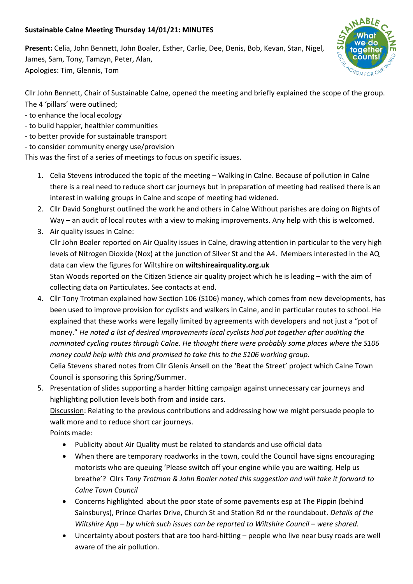## **Sustainable Calne Meeting Thursday 14/01/21: MINUTES**

**Present:** Celia, John Bennett, John Boaler, Esther, Carlie, Dee, Denis, Bob, Kevan, Stan, Nigel, James, Sam, Tony, Tamzyn, Peter, Alan, Apologies: Tim, Glennis, Tom



Cllr John Bennett, Chair of Sustainable Calne, opened the meeting and briefly explained the scope of the group. The 4 'pillars' were outlined;

- to enhance the local ecology
- to build happier, healthier communities
- to better provide for sustainable transport
- to consider community energy use/provision

This was the first of a series of meetings to focus on specific issues.

- 1. Celia Stevens introduced the topic of the meeting Walking in Calne. Because of pollution in Calne there is a real need to reduce short car journeys but in preparation of meeting had realised there is an interest in walking groups in Calne and scope of meeting had widened.
- 2. Cllr David Songhurst outlined the work he and others in Calne Without parishes are doing on Rights of Way – an audit of local routes with a view to making improvements. Any help with this is welcomed.
- 3. Air quality issues in Calne: Cllr John Boaler reported on Air Quality issues in Calne, drawing attention in particular to the very high levels of Nitrogen Dioxide (Nox) at the junction of Silver St and the A4. Members interested in the AQ data can view the figures for Wiltshire on **wiltshireairquality.org.uk** Stan Woods reported on the Citizen Science air quality project which he is leading – with the aim of collecting data on Particulates. See contacts at end.
- 4. Cllr Tony Trotman explained how Section 106 (S106) money, which comes from new developments, has been used to improve provision for cyclists and walkers in Calne, and in particular routes to school. He explained that these works were legally limited by agreements with developers and not just a "pot of money." *He noted a list of desired improvements local cyclists had put together after auditing the nominated cycling routes through Calne. He thought there were probably some places where the S106 money could help with this and promised to take this to the S106 working group.* Celia Stevens shared notes from Cllr Glenis Ansell on the 'Beat the Street' project which Calne Town Council is sponsoring this Spring/Summer.
- 5. Presentation of slides supporting a harder hitting campaign against unnecessary car journeys and highlighting pollution levels both from and inside cars.

Discussion: Relating to the previous contributions and addressing how we might persuade people to walk more and to reduce short car journeys.

Points made:

- Publicity about Air Quality must be related to standards and use official data
- When there are temporary roadworks in the town, could the Council have signs encouraging motorists who are queuing 'Please switch off your engine while you are waiting. Help us breathe'? Cllrs *Tony Trotman & John Boaler noted this suggestion and will take it forward to Calne Town Council*
- Concerns highlighted about the poor state of some pavements esp at The Pippin (behind Sainsburys), Prince Charles Drive, Church St and Station Rd nr the roundabout. *Details of the Wiltshire App – by which such issues can be reported to Wiltshire Council – were shared.*
- Uncertainty about posters that are too hard-hitting people who live near busy roads are well aware of the air pollution.